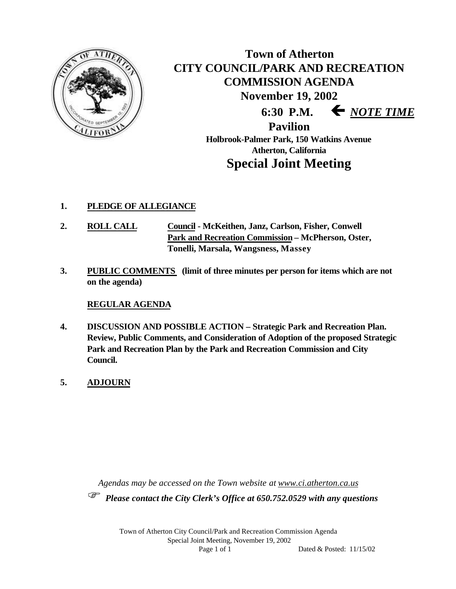

**Town of Atherton CITY COUNCIL/PARK AND RECREATION COMMISSION AGENDA November 19, 2002 6:30 P.M.**  $\leftarrow$  *NOTE TIME* 

> **Pavilion Holbrook-Palmer Park, 150 Watkins Avenue Atherton, California Special Joint Meeting**

- **1. PLEDGE OF ALLEGIANCE**
- **2. ROLL CALL Council McKeithen, Janz, Carlson, Fisher, Conwell Park and Recreation Commission – McPherson, Oster, Tonelli, Marsala, Wangsness, Massey**
- **3. PUBLIC COMMENTS (limit of three minutes per person for items which are not on the agenda)**

## **REGULAR AGENDA**

- **4. DISCUSSION AND POSSIBLE ACTION Strategic Park and Recreation Plan. Review, Public Comments, and Consideration of Adoption of the proposed Strategic Park and Recreation Plan by the Park and Recreation Commission and City Council.**
- **5. ADJOURN**

*Agendas may be accessed on the Town website at www.ci.atherton.ca.us*

F *Please contact the City Clerk's Office at 650.752.0529 with any questions*